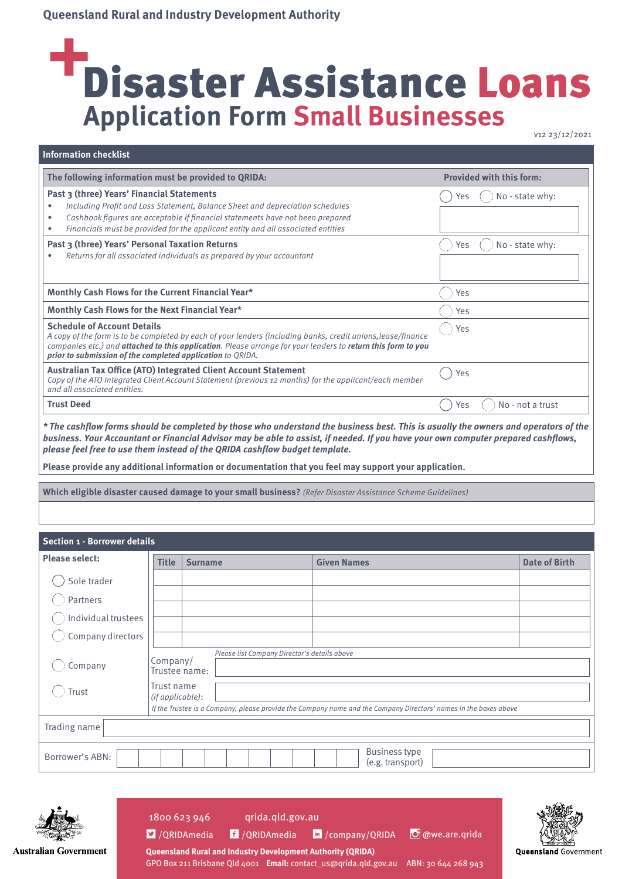# Disaster Assistance Loans **Application Form Small Businesses**

**Information checklist**

| The following information must be provided to QRIDA:                                                                                                                                                                                                                                                                                            |            | <b>Provided with this form:</b> |
|-------------------------------------------------------------------------------------------------------------------------------------------------------------------------------------------------------------------------------------------------------------------------------------------------------------------------------------------------|------------|---------------------------------|
| Past 3 (three) Years' Financial Statements<br>Including Profit and Loss Statement, Balance Sheet and depreciation schedules<br>٠<br>Cashbook figures are acceptable if financial statements have not been prepared<br>$\bullet$<br>Financials must be provided for the applicant entity and all associated entities<br>٠                        | <b>Yes</b> | No - state why:                 |
| Past 3 (three) Years' Personal Taxation Returns<br>Returns for all associated individuals as prepared by your accountant                                                                                                                                                                                                                        | Yes        | No - state why:                 |
| Monthly Cash Flows for the Current Financial Year*                                                                                                                                                                                                                                                                                              | Yes        |                                 |
| Monthly Cash Flows for the Next Financial Year*                                                                                                                                                                                                                                                                                                 | Yes        |                                 |
| <b>Schedule of Account Details</b><br>A copy of the form is to be completed by each of your lenders (including banks, credit unions, lease/finance<br>companies etc.) and <b>attached to this application</b> . Please arrange for your lenders to <b>return this form to you</b><br>prior to submission of the completed application to QRIDA. | Yes        |                                 |
| <b>Australian Tax Office (ATO) Integrated Client Account Statement</b><br>Copy of the ATO Integrated Client Account Statement (previous 12 months) for the applicant/each member<br>and all associated entities.                                                                                                                                | Yes        |                                 |
| <b>Trust Deed</b>                                                                                                                                                                                                                                                                                                                               | Yes        | No - not a trust                |

**\* The cashflow forms should be completed by those who understand the business best. This is usually the owners and operators of the business. Your Accountant or Financial Advisor may be able to assist, if needed. If you have your own computer prepared cashflows, please feel free to use them instead of the QRIDA cashflow budget template.**

**Please provide any additional information or documentation that you feel may support your application.**

**Which eligible disaster caused damage to your small business?** (Refer Disaster Assistance Scheme Guidelines)

#### **Section 1 - Borrower details**

| <b>Please select:</b> | <b>Title</b>                                                | <b>Surname</b>                               | <b>Given Names</b>                                                                                               | <b>Date of Birth</b> |
|-----------------------|-------------------------------------------------------------|----------------------------------------------|------------------------------------------------------------------------------------------------------------------|----------------------|
| Sole trader           |                                                             |                                              |                                                                                                                  |                      |
| Partners              |                                                             |                                              |                                                                                                                  |                      |
| Individual trustees   |                                                             |                                              |                                                                                                                  |                      |
| Company directors     |                                                             |                                              |                                                                                                                  |                      |
| Company<br>Trust      | Company/<br>Trustee name:<br>Trust name<br>(if applicable): | Please list Company Director's details above |                                                                                                                  |                      |
|                       |                                                             |                                              | If the Trustee is a Company, please provide the Company name and the Company Directors' names in the boxes above |                      |
| Trading name          |                                                             |                                              |                                                                                                                  |                      |
| Borrower's ABN:       |                                                             |                                              | <b>Business type</b><br>(e.g. transport)                                                                         |                      |



<sup>2</sup>/QRIDAmedia <sup>f</sup>/QRIDAmedia <sup>in</sup>/company/QRIDA

**Queensland Rural and Industry Development Authority (QRIDA)**

1800 623 946 qrida.qld.gov.au

O @we.are.qrida



**Australian Government** 

GPO Box 211 Brisbane Qld 4001 **Email:** contact\_us@qrida.qld.gov.au ABN: 30 644 268 943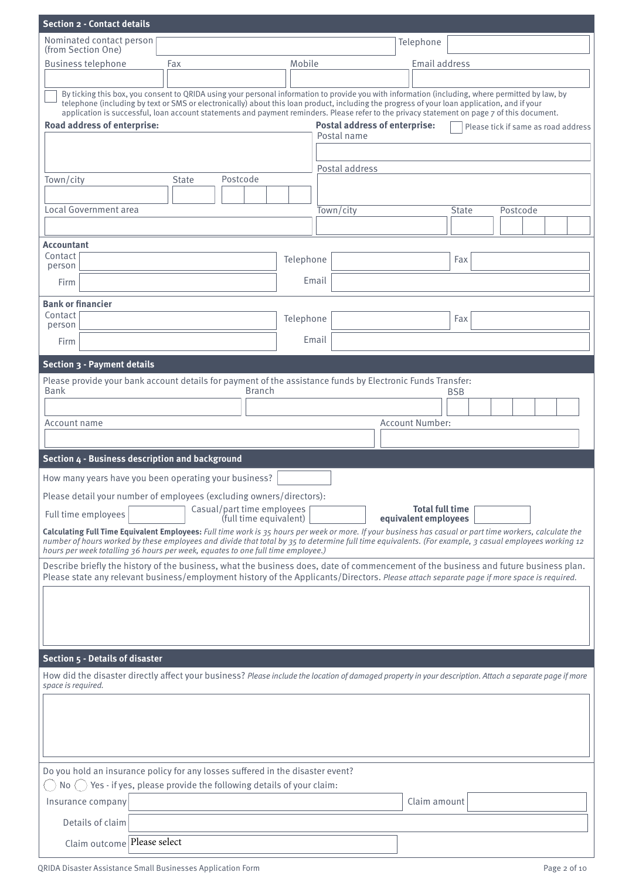| <b>Section 2 - Contact details</b>                                                                         |                                                                                                                                                                                                                                                                                             |           |                                                     |                                                |                                                                                                                                                                                         |
|------------------------------------------------------------------------------------------------------------|---------------------------------------------------------------------------------------------------------------------------------------------------------------------------------------------------------------------------------------------------------------------------------------------|-----------|-----------------------------------------------------|------------------------------------------------|-----------------------------------------------------------------------------------------------------------------------------------------------------------------------------------------|
| Nominated contact person<br>(from Section One)                                                             |                                                                                                                                                                                                                                                                                             |           |                                                     | Telephone                                      |                                                                                                                                                                                         |
| <b>Business telephone</b>                                                                                  | Fax                                                                                                                                                                                                                                                                                         | Mobile    |                                                     | Email address                                  |                                                                                                                                                                                         |
|                                                                                                            |                                                                                                                                                                                                                                                                                             |           |                                                     |                                                |                                                                                                                                                                                         |
| Road address of enterprise:                                                                                | telephone (including by text or SMS or electronically) about this loan product, including the progress of your loan application, and if your<br>application is successful, loan account statements and payment reminders. Please refer to the privacy statement on page 7 of this document. |           | <b>Postal address of enterprise:</b><br>Postal name |                                                | By ticking this box, you consent to QRIDA using your personal information to provide you with information (including, where permitted by law, by<br>Please tick if same as road address |
|                                                                                                            |                                                                                                                                                                                                                                                                                             |           | Postal address                                      |                                                |                                                                                                                                                                                         |
| Town/city                                                                                                  | <b>State</b><br>Postcode                                                                                                                                                                                                                                                                    |           |                                                     |                                                |                                                                                                                                                                                         |
| Local Government area                                                                                      |                                                                                                                                                                                                                                                                                             |           | Town/city                                           |                                                | <b>State</b><br>Postcode                                                                                                                                                                |
|                                                                                                            |                                                                                                                                                                                                                                                                                             |           |                                                     |                                                |                                                                                                                                                                                         |
| <b>Accountant</b>                                                                                          |                                                                                                                                                                                                                                                                                             |           |                                                     |                                                |                                                                                                                                                                                         |
| Contact<br>person                                                                                          |                                                                                                                                                                                                                                                                                             | Telephone |                                                     |                                                | Fax                                                                                                                                                                                     |
| Firm                                                                                                       |                                                                                                                                                                                                                                                                                             |           | Email                                               |                                                |                                                                                                                                                                                         |
| <b>Bank or financier</b>                                                                                   |                                                                                                                                                                                                                                                                                             |           |                                                     |                                                |                                                                                                                                                                                         |
| Contact<br>person                                                                                          |                                                                                                                                                                                                                                                                                             | Telephone |                                                     |                                                | Fax                                                                                                                                                                                     |
| Firm                                                                                                       |                                                                                                                                                                                                                                                                                             |           | Email                                               |                                                |                                                                                                                                                                                         |
| Section 3 - Payment details                                                                                |                                                                                                                                                                                                                                                                                             |           |                                                     |                                                |                                                                                                                                                                                         |
| Please provide your bank account details for payment of the assistance funds by Electronic Funds Transfer: |                                                                                                                                                                                                                                                                                             |           |                                                     |                                                |                                                                                                                                                                                         |
| <b>Bank</b>                                                                                                | <b>Branch</b>                                                                                                                                                                                                                                                                               |           |                                                     |                                                | <b>BSB</b>                                                                                                                                                                              |
|                                                                                                            |                                                                                                                                                                                                                                                                                             |           |                                                     | <b>Account Number:</b>                         |                                                                                                                                                                                         |
| Account name                                                                                               |                                                                                                                                                                                                                                                                                             |           |                                                     |                                                |                                                                                                                                                                                         |
| Section 4 - Business description and background                                                            |                                                                                                                                                                                                                                                                                             |           |                                                     |                                                |                                                                                                                                                                                         |
| How many years have you been operating your business?                                                      |                                                                                                                                                                                                                                                                                             |           |                                                     |                                                |                                                                                                                                                                                         |
| Please detail your number of employees (excluding owners/directors):                                       |                                                                                                                                                                                                                                                                                             |           |                                                     |                                                |                                                                                                                                                                                         |
| Full time employees                                                                                        | Casual/part time employees<br>(full time equivalent)                                                                                                                                                                                                                                        |           |                                                     | <b>Total full time</b><br>equivalent employees |                                                                                                                                                                                         |
|                                                                                                            |                                                                                                                                                                                                                                                                                             |           |                                                     |                                                | Calculating Full Time Equivalent Employees: Full time work is 35 hours per week or more. If your business has casual or part time workers, calculate the                                |
| hours per week totalling 36 hours per week, equates to one full time employee.)                            |                                                                                                                                                                                                                                                                                             |           |                                                     |                                                | number of hours worked by these employees and divide that total by 35 to determine full time equivalents. (For example, 3 casual employees working 12                                   |
|                                                                                                            |                                                                                                                                                                                                                                                                                             |           |                                                     |                                                | Describe briefly the history of the business, what the business does, date of commencement of the business and future business plan.                                                    |
|                                                                                                            |                                                                                                                                                                                                                                                                                             |           |                                                     |                                                | Please state any relevant business/employment history of the Applicants/Directors. Please attach separate page if more space is required.                                               |
|                                                                                                            |                                                                                                                                                                                                                                                                                             |           |                                                     |                                                |                                                                                                                                                                                         |
|                                                                                                            |                                                                                                                                                                                                                                                                                             |           |                                                     |                                                |                                                                                                                                                                                         |
|                                                                                                            |                                                                                                                                                                                                                                                                                             |           |                                                     |                                                |                                                                                                                                                                                         |
| <b>Section 5 - Details of disaster</b>                                                                     |                                                                                                                                                                                                                                                                                             |           |                                                     |                                                |                                                                                                                                                                                         |
| space is required.                                                                                         |                                                                                                                                                                                                                                                                                             |           |                                                     |                                                | How did the disaster directly affect your business? Please include the location of damaged property in your description. Attach a separate page if more                                 |
|                                                                                                            |                                                                                                                                                                                                                                                                                             |           |                                                     |                                                |                                                                                                                                                                                         |
|                                                                                                            |                                                                                                                                                                                                                                                                                             |           |                                                     |                                                |                                                                                                                                                                                         |
|                                                                                                            |                                                                                                                                                                                                                                                                                             |           |                                                     |                                                |                                                                                                                                                                                         |
|                                                                                                            |                                                                                                                                                                                                                                                                                             |           |                                                     |                                                |                                                                                                                                                                                         |
| Do you hold an insurance policy for any losses suffered in the disaster event?                             |                                                                                                                                                                                                                                                                                             |           |                                                     |                                                |                                                                                                                                                                                         |
| $No$ ( )<br>Insurance company                                                                              | Yes - if yes, please provide the following details of your claim:                                                                                                                                                                                                                           |           |                                                     | Claim amount                                   |                                                                                                                                                                                         |
|                                                                                                            |                                                                                                                                                                                                                                                                                             |           |                                                     |                                                |                                                                                                                                                                                         |
| Details of claim                                                                                           |                                                                                                                                                                                                                                                                                             |           |                                                     |                                                |                                                                                                                                                                                         |
| Claim outcome Please select                                                                                |                                                                                                                                                                                                                                                                                             |           |                                                     |                                                |                                                                                                                                                                                         |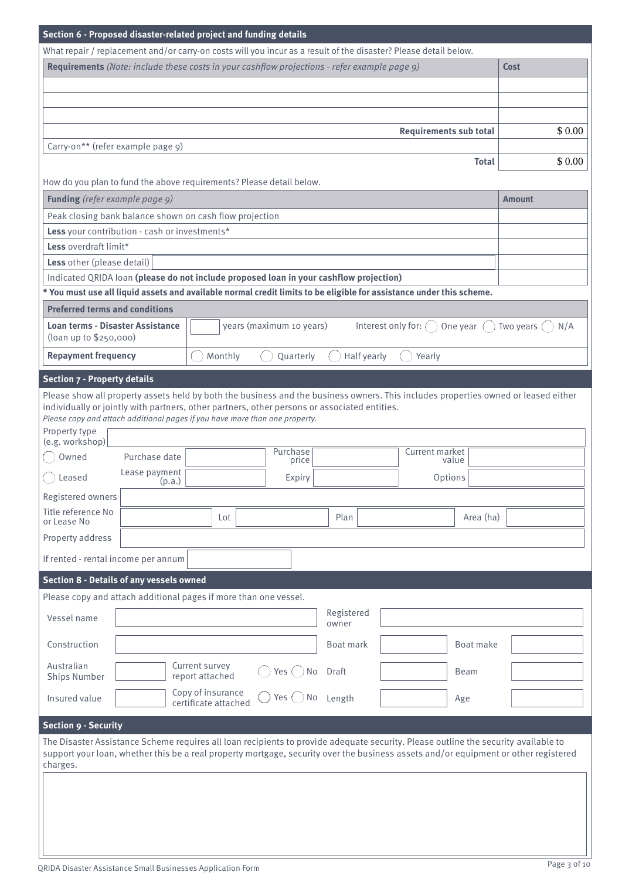| Section 6 - Proposed disaster-related project and funding details |                         |                                           |                                                                                                                                                                             |                     |                                                                                                                                                                                                                                                                           |                  |
|-------------------------------------------------------------------|-------------------------|-------------------------------------------|-----------------------------------------------------------------------------------------------------------------------------------------------------------------------------|---------------------|---------------------------------------------------------------------------------------------------------------------------------------------------------------------------------------------------------------------------------------------------------------------------|------------------|
|                                                                   |                         |                                           |                                                                                                                                                                             |                     | What repair / replacement and/or carry-on costs will you incur as a result of the disaster? Please detail below.                                                                                                                                                          |                  |
|                                                                   |                         |                                           | <b>Requirements</b> (Note: include these costs in your cashflow projections - refer example page 9)                                                                         |                     |                                                                                                                                                                                                                                                                           | Cost             |
|                                                                   |                         |                                           |                                                                                                                                                                             |                     |                                                                                                                                                                                                                                                                           |                  |
|                                                                   |                         |                                           |                                                                                                                                                                             |                     |                                                                                                                                                                                                                                                                           |                  |
|                                                                   |                         |                                           |                                                                                                                                                                             |                     |                                                                                                                                                                                                                                                                           |                  |
|                                                                   |                         |                                           |                                                                                                                                                                             |                     | <b>Requirements sub total</b>                                                                                                                                                                                                                                             | \$0.00           |
| Carry-on** (refer example page 9)                                 |                         |                                           |                                                                                                                                                                             |                     |                                                                                                                                                                                                                                                                           |                  |
|                                                                   |                         |                                           |                                                                                                                                                                             |                     | <b>Total</b>                                                                                                                                                                                                                                                              | \$0.00           |
|                                                                   |                         |                                           | How do you plan to fund the above requirements? Please detail below.                                                                                                        |                     |                                                                                                                                                                                                                                                                           |                  |
| Funding (refer example page 9)                                    |                         |                                           |                                                                                                                                                                             |                     |                                                                                                                                                                                                                                                                           | <b>Amount</b>    |
| Peak closing bank balance shown on cash flow projection           |                         |                                           |                                                                                                                                                                             |                     |                                                                                                                                                                                                                                                                           |                  |
| Less your contribution - cash or investments*                     |                         |                                           |                                                                                                                                                                             |                     |                                                                                                                                                                                                                                                                           |                  |
| Less overdraft limit*                                             |                         |                                           |                                                                                                                                                                             |                     |                                                                                                                                                                                                                                                                           |                  |
| Less other (please detail)                                        |                         |                                           |                                                                                                                                                                             |                     |                                                                                                                                                                                                                                                                           |                  |
|                                                                   |                         |                                           | Indicated QRIDA loan (please do not include proposed loan in your cashflow projection)                                                                                      |                     |                                                                                                                                                                                                                                                                           |                  |
|                                                                   |                         |                                           |                                                                                                                                                                             |                     | * You must use all liquid assets and available normal credit limits to be eligible for assistance under this scheme.                                                                                                                                                      |                  |
| <b>Preferred terms and conditions</b>                             |                         |                                           |                                                                                                                                                                             |                     |                                                                                                                                                                                                                                                                           |                  |
| <b>Loan terms - Disaster Assistance</b>                           |                         |                                           | years (maximum 10 years)                                                                                                                                                    |                     | Interest only for: $\bigcap$<br>One year $($ $)$                                                                                                                                                                                                                          | Two years<br>N/A |
| (loan up to \$250,000)                                            |                         |                                           |                                                                                                                                                                             |                     |                                                                                                                                                                                                                                                                           |                  |
| <b>Repayment frequency</b>                                        |                         | Monthly                                   | Quarterly                                                                                                                                                                   | Half yearly         | Yearly                                                                                                                                                                                                                                                                    |                  |
|                                                                   |                         |                                           |                                                                                                                                                                             |                     |                                                                                                                                                                                                                                                                           |                  |
| <b>Section 7 - Property details</b>                               |                         |                                           |                                                                                                                                                                             |                     |                                                                                                                                                                                                                                                                           |                  |
|                                                                   |                         |                                           |                                                                                                                                                                             |                     | Please show all property assets held by both the business and the business owners. This includes properties owned or leased either                                                                                                                                        |                  |
|                                                                   |                         |                                           | individually or jointly with partners, other partners, other persons or associated entities.<br>Please copy and attach additional pages if you have more than one property. |                     |                                                                                                                                                                                                                                                                           |                  |
| Property type                                                     |                         |                                           |                                                                                                                                                                             |                     |                                                                                                                                                                                                                                                                           |                  |
| (e.g. workshop)                                                   |                         |                                           |                                                                                                                                                                             |                     |                                                                                                                                                                                                                                                                           |                  |
| Owned                                                             | Purchase date           |                                           | Purchase<br>price                                                                                                                                                           |                     | Current market<br>value                                                                                                                                                                                                                                                   |                  |
| Leased                                                            | Lease payment<br>(p.a.) |                                           | Expiry                                                                                                                                                                      |                     | Options                                                                                                                                                                                                                                                                   |                  |
| Registered owners                                                 |                         |                                           |                                                                                                                                                                             |                     |                                                                                                                                                                                                                                                                           |                  |
| Title reference No                                                |                         |                                           |                                                                                                                                                                             |                     |                                                                                                                                                                                                                                                                           |                  |
| or Lease No                                                       |                         | Lot                                       |                                                                                                                                                                             | Plan                | Area (ha)                                                                                                                                                                                                                                                                 |                  |
| Property address                                                  |                         |                                           |                                                                                                                                                                             |                     |                                                                                                                                                                                                                                                                           |                  |
| If rented - rental income per annum                               |                         |                                           |                                                                                                                                                                             |                     |                                                                                                                                                                                                                                                                           |                  |
|                                                                   |                         |                                           |                                                                                                                                                                             |                     |                                                                                                                                                                                                                                                                           |                  |
| <b>Section 8 - Details of any vessels owned</b>                   |                         |                                           |                                                                                                                                                                             |                     |                                                                                                                                                                                                                                                                           |                  |
| Please copy and attach additional pages if more than one vessel.  |                         |                                           |                                                                                                                                                                             |                     |                                                                                                                                                                                                                                                                           |                  |
| Vessel name                                                       |                         |                                           |                                                                                                                                                                             | Registered<br>owner |                                                                                                                                                                                                                                                                           |                  |
|                                                                   |                         |                                           |                                                                                                                                                                             |                     |                                                                                                                                                                                                                                                                           |                  |
| Construction                                                      |                         |                                           |                                                                                                                                                                             | Boat mark           | Boat make                                                                                                                                                                                                                                                                 |                  |
| Australian                                                        |                         | Current survey                            | Yes $($ $)$<br>No                                                                                                                                                           | Draft               | <b>Beam</b>                                                                                                                                                                                                                                                               |                  |
| <b>Ships Number</b>                                               |                         | report attached                           |                                                                                                                                                                             |                     |                                                                                                                                                                                                                                                                           |                  |
| Insured value                                                     |                         | Copy of insurance<br>certificate attached | Yes $($ $)$<br>No                                                                                                                                                           | Length              | Age                                                                                                                                                                                                                                                                       |                  |
|                                                                   |                         |                                           |                                                                                                                                                                             |                     |                                                                                                                                                                                                                                                                           |                  |
| <b>Section 9 - Security</b>                                       |                         |                                           |                                                                                                                                                                             |                     |                                                                                                                                                                                                                                                                           |                  |
|                                                                   |                         |                                           |                                                                                                                                                                             |                     | The Disaster Assistance Scheme requires all loan recipients to provide adequate security. Please outline the security available to<br>support your loan, whether this be a real property mortgage, security over the business assets and/or equipment or other registered |                  |
| charges.                                                          |                         |                                           |                                                                                                                                                                             |                     |                                                                                                                                                                                                                                                                           |                  |
|                                                                   |                         |                                           |                                                                                                                                                                             |                     |                                                                                                                                                                                                                                                                           |                  |
|                                                                   |                         |                                           |                                                                                                                                                                             |                     |                                                                                                                                                                                                                                                                           |                  |
|                                                                   |                         |                                           |                                                                                                                                                                             |                     |                                                                                                                                                                                                                                                                           |                  |
|                                                                   |                         |                                           |                                                                                                                                                                             |                     |                                                                                                                                                                                                                                                                           |                  |
|                                                                   |                         |                                           |                                                                                                                                                                             |                     |                                                                                                                                                                                                                                                                           |                  |
|                                                                   |                         |                                           |                                                                                                                                                                             |                     |                                                                                                                                                                                                                                                                           |                  |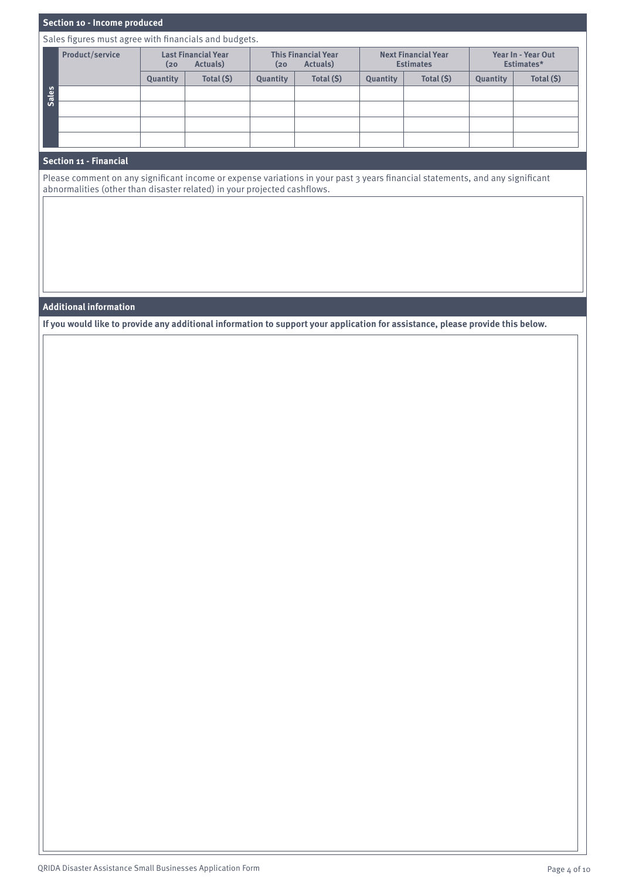# **Section 10 - Income produced**

Sales figures must agree with financials and budgets.

|              | <b>Product/service</b> | <b>Last Financial Year</b><br>Actuals)<br>(20 |            | <b>This Financial Year</b><br>Actuals)<br>(20) |            |          | <b>Next Financial Year</b><br><b>Estimates</b> | Year In - Year Out<br>Estimates* |            |
|--------------|------------------------|-----------------------------------------------|------------|------------------------------------------------|------------|----------|------------------------------------------------|----------------------------------|------------|
|              |                        | Quantity                                      | Total (\$) | Quantity                                       | Total (\$) | Quantity | Total (\$)                                     | Quantity                         | Total (\$) |
| <b>Sales</b> |                        |                                               |            |                                                |            |          |                                                |                                  |            |
|              |                        |                                               |            |                                                |            |          |                                                |                                  |            |
|              |                        |                                               |            |                                                |            |          |                                                |                                  |            |
|              |                        |                                               |            |                                                |            |          |                                                |                                  |            |

#### **Section 11 - Financial**

Please comment on any significant income or expense variations in your past 3 years financial statements, and any significant abnormalities (other than disaster related) in your projected cashflows.

# **Additional information**

**If you would like to provide any additional information to support your application for assistance, please provide this below.**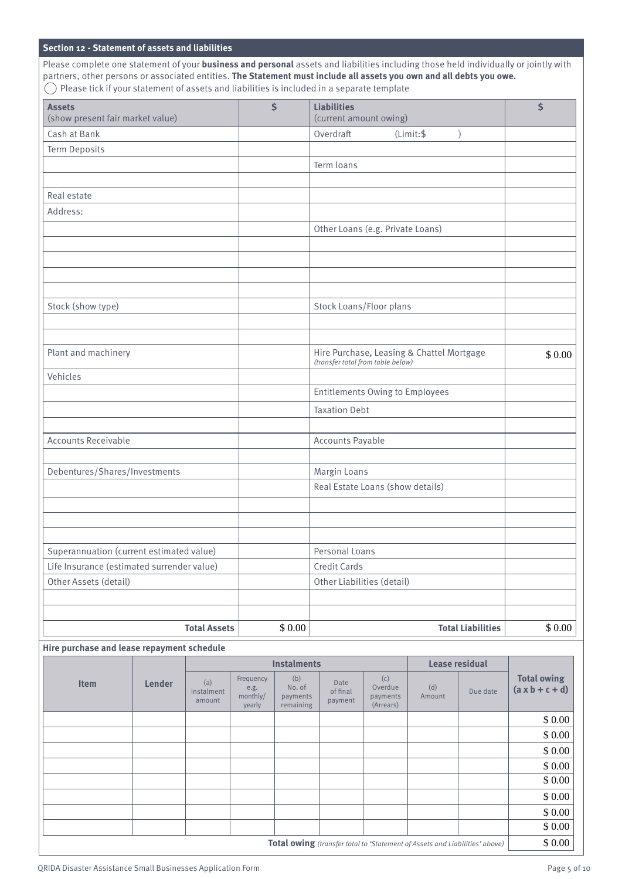# **Section 12 - Statement of assets and liabilities**

Please complete one statement of your **business and personal** assets and liabilities including those held individually or jointly with partners, other persons or associated entities. **The Statement must include all assets you own and all debts you owe.**  $\bigcirc$  Please tick if your statement of assets and liabilities is included in a separate template

| <b>Assets</b><br>(show present fair market value) | $\ddot{\mathsf{s}}$ | <b>Liabilities</b><br>(current amount owing)                                   | \$     |
|---------------------------------------------------|---------------------|--------------------------------------------------------------------------------|--------|
| Cash at Bank                                      |                     | Overdraft<br>(Limit:<br>$\mathcal{E}$                                          |        |
| <b>Term Deposits</b>                              |                     |                                                                                |        |
|                                                   |                     | Term loans                                                                     |        |
|                                                   |                     |                                                                                |        |
| Real estate                                       |                     |                                                                                |        |
| Address:                                          |                     |                                                                                |        |
|                                                   |                     | Other Loans (e.g. Private Loans)                                               |        |
|                                                   |                     |                                                                                |        |
|                                                   |                     |                                                                                |        |
|                                                   |                     |                                                                                |        |
|                                                   |                     |                                                                                |        |
| Stock (show type)                                 |                     | Stock Loans/Floor plans                                                        |        |
|                                                   |                     |                                                                                |        |
|                                                   |                     |                                                                                |        |
| Plant and machinery                               |                     | Hire Purchase, Leasing & Chattel Mortgage<br>(transfer total from table below) | \$0.00 |
| Vehicles                                          |                     |                                                                                |        |
|                                                   |                     | <b>Entitlements Owing to Employees</b>                                         |        |
|                                                   |                     | <b>Taxation Debt</b>                                                           |        |
|                                                   |                     |                                                                                |        |
| <b>Accounts Receivable</b>                        |                     | <b>Accounts Payable</b>                                                        |        |
|                                                   |                     |                                                                                |        |
| Debentures/Shares/Investments                     |                     | Margin Loans                                                                   |        |
|                                                   |                     | Real Estate Loans (show details)                                               |        |
|                                                   |                     |                                                                                |        |
|                                                   |                     |                                                                                |        |
|                                                   |                     |                                                                                |        |
| Superannuation (current estimated value)          |                     | Personal Loans                                                                 |        |
| Life Insurance (estimated surrender value)        |                     | Credit Cards                                                                   |        |
| Other Assets (detail)                             |                     | Other Liabilities (detail)                                                     |        |
|                                                   |                     |                                                                                |        |
| <b>Total Assets</b>                               | \$0.00              | <b>Total Liabilities</b>                                                       | \$0.00 |
|                                                   |                     |                                                                                |        |

### **Hire purchase and lease repayment schedule**

|             |                                                                             |                             |                                         | <b>Instalments</b>                     |                             |                                         |               | <b>Lease residual</b> |                                        |
|-------------|-----------------------------------------------------------------------------|-----------------------------|-----------------------------------------|----------------------------------------|-----------------------------|-----------------------------------------|---------------|-----------------------|----------------------------------------|
| <b>Item</b> | Lender                                                                      | (a)<br>Instalment<br>amount | Frequency<br>e.g.<br>monthly/<br>yearly | (b)<br>No. of<br>payments<br>remaining | Date<br>of final<br>payment | (c)<br>Overdue<br>payments<br>(Arrears) | (d)<br>Amount | Due date              | <b>Total owing</b><br>$(ax b + c + d)$ |
|             |                                                                             |                             |                                         |                                        |                             |                                         |               |                       | \$0.00                                 |
|             |                                                                             |                             |                                         |                                        |                             |                                         |               |                       | \$0.00                                 |
|             |                                                                             |                             |                                         |                                        |                             |                                         |               |                       | \$0.00                                 |
|             |                                                                             |                             |                                         |                                        |                             |                                         |               |                       | \$0.00                                 |
|             |                                                                             |                             |                                         |                                        |                             |                                         |               |                       | \$0.00                                 |
|             |                                                                             |                             |                                         |                                        |                             |                                         |               |                       | \$0.00                                 |
|             |                                                                             |                             |                                         |                                        |                             |                                         |               |                       | \$0.00                                 |
|             |                                                                             |                             |                                         |                                        |                             |                                         |               |                       | \$0.00                                 |
|             | Total owing (transfer total to 'Statement of Assets and Liabilities' above) |                             |                                         |                                        |                             |                                         |               |                       | \$0.00                                 |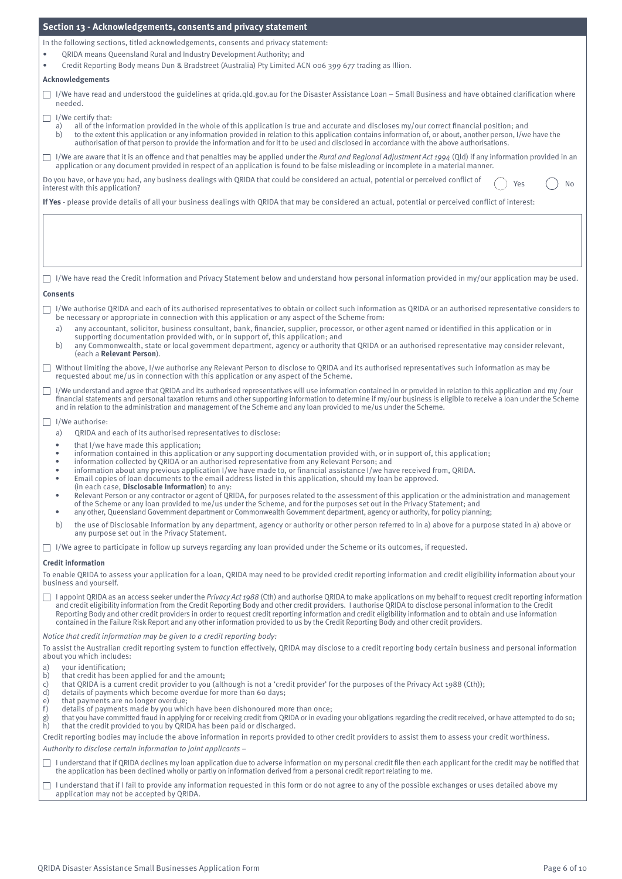| Section 13 - Acknowledgements, consents and privacy statement                                                                                                                                                                                                                                                                                                                                                                                                                                                                                                                                                                                          |
|--------------------------------------------------------------------------------------------------------------------------------------------------------------------------------------------------------------------------------------------------------------------------------------------------------------------------------------------------------------------------------------------------------------------------------------------------------------------------------------------------------------------------------------------------------------------------------------------------------------------------------------------------------|
| In the following sections, titled acknowledgements, consents and privacy statement:                                                                                                                                                                                                                                                                                                                                                                                                                                                                                                                                                                    |
| QRIDA means Queensland Rural and Industry Development Authority; and<br>٠                                                                                                                                                                                                                                                                                                                                                                                                                                                                                                                                                                              |
| Credit Reporting Body means Dun & Bradstreet (Australia) Pty Limited ACN 006 399 677 trading as Illion.<br>$\bullet$<br><b>Acknowledgements</b>                                                                                                                                                                                                                                                                                                                                                                                                                                                                                                        |
| $\Box$ I/We have read and understood the guidelines at grida.gld.gov.au for the Disaster Assistance Loan – Small Business and have obtained clarification where<br>needed.                                                                                                                                                                                                                                                                                                                                                                                                                                                                             |
| $\Box$ I/We certify that:                                                                                                                                                                                                                                                                                                                                                                                                                                                                                                                                                                                                                              |
| all of the information provided in the whole of this application is true and accurate and discloses my/our correct financial position; and<br>a)<br>to the extent this application or any information provided in relation to this application contains information of, or about, another person, I/we have the<br>b)<br>authorisation of that person to provide the information and for it to be used and disclosed in accordance with the above authorisations.                                                                                                                                                                                      |
| □ I/We are aware that it is an offence and that penalties may be applied under the Rural and Regional Adjustment Act 1994 (Qld) if any information provided in an<br>application or any document provided in respect of an application is found to be false misleading or incomplete in a material manner.                                                                                                                                                                                                                                                                                                                                             |
| Do you have, or have you had, any business dealings with QRIDA that could be considered an actual, potential or perceived conflict of<br>Yes<br>No<br>interest with this application?                                                                                                                                                                                                                                                                                                                                                                                                                                                                  |
| If Yes - please provide details of all your business dealings with QRIDA that may be considered an actual, potential or perceived conflict of interest:                                                                                                                                                                                                                                                                                                                                                                                                                                                                                                |
|                                                                                                                                                                                                                                                                                                                                                                                                                                                                                                                                                                                                                                                        |
| $\Box$ I/We have read the Credit Information and Privacy Statement below and understand how personal information provided in my/our application may be used.<br><b>Consents</b>                                                                                                                                                                                                                                                                                                                                                                                                                                                                        |
| I/We authorise QRIDA and each of its authorised representatives to obtain or collect such information as QRIDA or an authorised representative considers to<br>be necessary or appropriate in connection with this application or any aspect of the Scheme from:                                                                                                                                                                                                                                                                                                                                                                                       |
| any accountant, solicitor, business consultant, bank, financier, supplier, processor, or other agent named or identified in this application or in<br>a)<br>supporting documentation provided with, or in support of, this application; and<br>any Commonwealth, state or local government department, agency or authority that QRIDA or an authorised representative may consider relevant,<br>b)<br>(each a Relevant Person).                                                                                                                                                                                                                        |
| Without limiting the above, I/we authorise any Relevant Person to disclose to QRIDA and its authorised representatives such information as may be<br>requested about me/us in connection with this application or any aspect of the Scheme.                                                                                                                                                                                                                                                                                                                                                                                                            |
| I/We understand and agree that QRIDA and its authorised representatives will use information contained in or provided in relation to this application and my/our<br>⊔<br>financial statements and personal taxation returns and other supporting information to determine if my/our business is eligible to receive a loan under the Scheme                                                                                                                                                                                                                                                                                                            |
| and in relation to the administration and management of the Scheme and any loan provided to me/us under the Scheme.<br>$\Box$ I/We authorise:                                                                                                                                                                                                                                                                                                                                                                                                                                                                                                          |
| QRIDA and each of its authorised representatives to disclose:<br>a)                                                                                                                                                                                                                                                                                                                                                                                                                                                                                                                                                                                    |
| that I/we have made this application;<br>٠<br>information contained in this application or any supporting documentation provided with, or in support of, this application;<br>٠<br>information collected by QRIDA or an authorised representative from any Relevant Person; and<br>$\bullet$<br>information about any previous application I/we have made to, or financial assistance I/we have received from, QRIDA.<br>$\bullet$<br>Email copies of loan documents to the email address listed in this application, should my loan be approved.<br>٠                                                                                                 |
| (in each case, Disclosable Information) to any:<br>Relevant Person or any contractor or agent of QRIDA, for purposes related to the assessment of this application or the administration and management<br>$\bullet$<br>of the Scheme or any loan provided to me/us under the Scheme, and for the purposes set out in the Privacy Statement; and<br>any other, Queensland Government department or Commonwealth Government department, agency or authority, for policy planning;<br>٠                                                                                                                                                                  |
| the use of Disclosable Information by any department, agency or authority or other person referred to in a) above for a purpose stated in a) above or<br>b)<br>any purpose set out in the Privacy Statement.                                                                                                                                                                                                                                                                                                                                                                                                                                           |
| $\Box$ I/We agree to participate in follow up surveys regarding any loan provided under the Scheme or its outcomes, if requested.                                                                                                                                                                                                                                                                                                                                                                                                                                                                                                                      |
| <b>Credit information</b><br>To enable QRIDA to assess your application for a loan, QRIDA may need to be provided credit reporting information and credit eligibility information about your<br>business and yourself.                                                                                                                                                                                                                                                                                                                                                                                                                                 |
| I appoint QRIDA as an access seeker under the Privacy Act 1988 (Cth) and authorise QRIDA to make applications on my behalf to request credit reporting information<br>ш<br>and credit eligibility information from the Credit Reporting Body and other credit providers. I authorise QRIDA to disclose personal information to the Credit<br>Reporting Body and other credit providers in order to request credit reporting information and credit eligibility information and to obtain and use information<br>contained in the Failure Risk Report and any other information provided to us by the Credit Reporting Body and other credit providers. |
| Notice that credit information may be given to a credit reporting body:                                                                                                                                                                                                                                                                                                                                                                                                                                                                                                                                                                                |
| To assist the Australian credit reporting system to function effectively, QRIDA may disclose to a credit reporting body certain business and personal information<br>about you which includes:                                                                                                                                                                                                                                                                                                                                                                                                                                                         |
| your identification;<br>a)                                                                                                                                                                                                                                                                                                                                                                                                                                                                                                                                                                                                                             |
| that credit has been applied for and the amount;<br>b)<br>c)<br>that QRIDA is a current credit provider to you (although is not a 'credit provider' for the purposes of the Privacy Act 1988 (Cth));<br>d)<br>details of payments which become overdue for more than 60 days;<br>e)<br>that payments are no longer overdue;<br>f)<br>details of payments made by you which have been dishonoured more than once;<br>that you have committed fraud in applying for or receiving credit from QRIDA or in evading your obligations regarding the credit received, or have attempted to do so;<br>g)                                                       |
| that the credit provided to you by QRIDA has been paid or discharged.<br>h)<br>Credit reporting bodies may include the above information in reports provided to other credit providers to assist them to assess your credit worthiness.                                                                                                                                                                                                                                                                                                                                                                                                                |
| Authority to disclose certain information to joint applicants -                                                                                                                                                                                                                                                                                                                                                                                                                                                                                                                                                                                        |
| I understand that if QRIDA declines my loan application due to adverse information on my personal credit file then each applicant for the credit may be notified that<br>$\Box$<br>the application has been declined wholly or partly on information derived from a personal credit report relating to me.                                                                                                                                                                                                                                                                                                                                             |
| I understand that if I fail to provide any information requested in this form or do not agree to any of the possible exchanges or uses detailed above my<br>application may not be accepted by QRIDA.                                                                                                                                                                                                                                                                                                                                                                                                                                                  |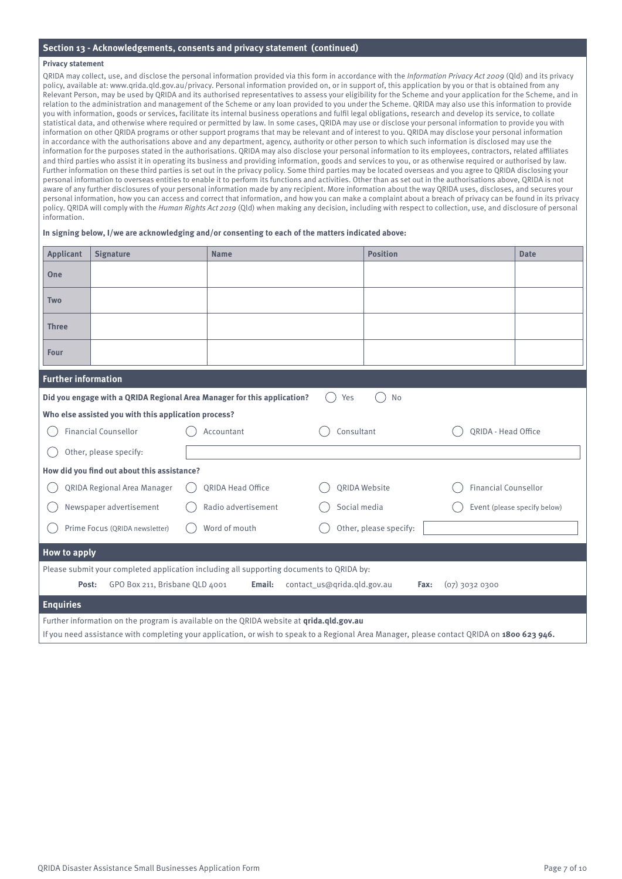#### **Section 13 - Acknowledgements, consents and privacy statement (continued)**

#### **Privacy statement**

QRIDA may collect, use, and disclose the personal information provided via this form in accordance with the Information Privacy Act 2009 (Qld) and its privacy policy, available at: www.qrida.qld.gov.au/privacy. Personal information provided on, or in support of, this application by you or that is obtained from any Relevant Person, may be used by QRIDA and its authorised representatives to assess your eligibility for the Scheme and your application for the Scheme, and in relation to the administration and management of the Scheme or any loan provided to you under the Scheme. QRIDA may also use this information to provide you with information, goods or services, facilitate its internal business operations and fulfil legal obligations, research and develop its service, to collate statistical data, and otherwise where required or permitted by law. In some cases, QRIDA may use or disclose your personal information to provide you with information on other QRIDA programs or other support programs that may be relevant and of interest to you. QRIDA may disclose your personal information in accordance with the authorisations above and any department, agency, authority or other person to which such information is disclosed may use the information for the purposes stated in the authorisations. QRIDA may also disclose your personal information to its employees, contractors, related affiliates and third parties who assist it in operating its business and providing information, goods and services to you, or as otherwise required or authorised by law. Further information on these third parties is set out in the privacy policy. Some third parties may be located overseas and you agree to QRIDA disclosing your personal information to overseas entities to enable it to perform its functions and activities. Other than as set out in the authorisations above, QRIDA is not aware of any further disclosures of your personal information made by any recipient. More information about the way QRIDA uses, discloses, and secures your personal information, how you can access and correct that information, and how you can make a complaint about a breach of privacy can be found in its privacy policy. QRIDA will comply with the Human Rights Act 2019 (Qld) when making any decision, including with respect to collection, use, and disclosure of personal information.

#### **In signing below, I/we are acknowledging and/or consenting to each of the matters indicated above:**

| <b>Applicant</b>           | <b>Signature</b>                                     | <b>Name</b>                                                                                                                                 |                             | <b>Position</b> |                             | <b>Date</b>                  |
|----------------------------|------------------------------------------------------|---------------------------------------------------------------------------------------------------------------------------------------------|-----------------------------|-----------------|-----------------------------|------------------------------|
| One                        |                                                      |                                                                                                                                             |                             |                 |                             |                              |
| Two                        |                                                      |                                                                                                                                             |                             |                 |                             |                              |
| <b>Three</b>               |                                                      |                                                                                                                                             |                             |                 |                             |                              |
| Four                       |                                                      |                                                                                                                                             |                             |                 |                             |                              |
| <b>Further information</b> |                                                      |                                                                                                                                             |                             |                 |                             |                              |
|                            |                                                      | Did you engage with a QRIDA Regional Area Manager for this application?                                                                     | Yes                         | No              |                             |                              |
|                            | Who else assisted you with this application process? |                                                                                                                                             |                             |                 |                             |                              |
|                            | <b>Financial Counsellor</b>                          | Accountant                                                                                                                                  | Consultant                  |                 | ORIDA - Head Office         |                              |
|                            | Other, please specify:                               |                                                                                                                                             |                             |                 |                             |                              |
|                            | How did you find out about this assistance?          |                                                                                                                                             |                             |                 |                             |                              |
|                            | <b>QRIDA Regional Area Manager</b>                   | <b>ORIDA Head Office</b>                                                                                                                    | ORIDA Website               |                 | <b>Financial Counsellor</b> |                              |
|                            | Newspaper advertisement                              | Radio advertisement                                                                                                                         | Social media                |                 |                             | Event (please specify below) |
|                            | Prime Focus (QRIDA newsletter)                       | Word of mouth                                                                                                                               | Other, please specify:      |                 |                             |                              |
| How to apply               |                                                      |                                                                                                                                             |                             |                 |                             |                              |
|                            |                                                      | Please submit your completed application including all supporting documents to QRIDA by:                                                    |                             |                 |                             |                              |
| Post:                      | GPO Box 211, Brisbane QLD 4001                       | Email:                                                                                                                                      | contact_us@qrida.qld.gov.au | Fax:            | $(07)$ 3032 0300            |                              |
| <b>Enquiries</b>           |                                                      |                                                                                                                                             |                             |                 |                             |                              |
|                            |                                                      | Further information on the program is available on the QRIDA website at qrida.qld.gov.au                                                    |                             |                 |                             |                              |
|                            |                                                      | If you need assistance with completing your application, or wish to speak to a Regional Area Manager, please contact QRIDA on 1800 623 946. |                             |                 |                             |                              |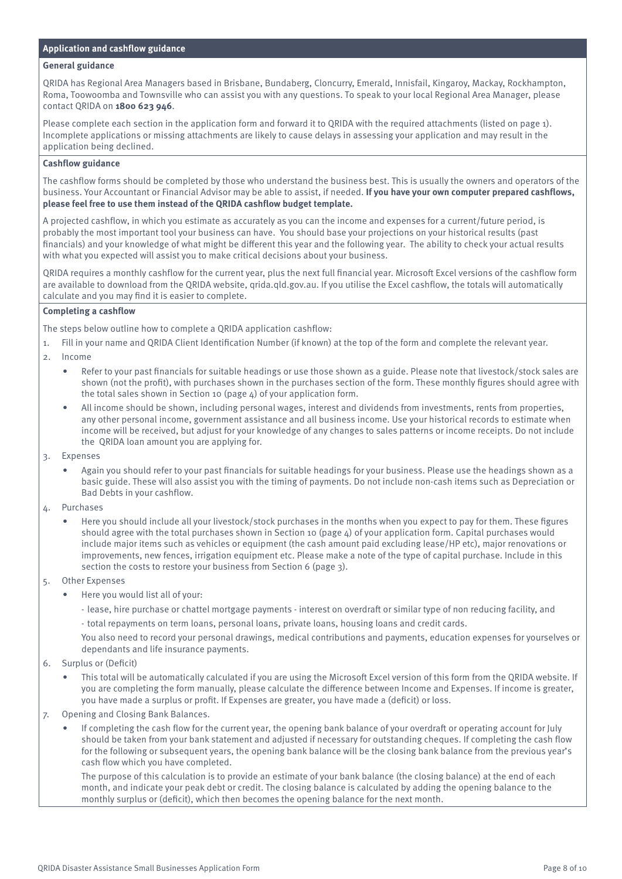# **Application and cashflow guidance**

#### **General guidance**

QRIDA has Regional Area Managers based in Brisbane, Bundaberg, Cloncurry, Emerald, Innisfail, Kingaroy, Mackay, Rockhampton, Roma, Toowoomba and Townsville who can assist you with any questions. To speak to your local Regional Area Manager, please contact QRIDA on **1800 623 946**.

Please complete each section in the application form and forward it to QRIDA with the required attachments (listed on page 1). Incomplete applications or missing attachments are likely to cause delays in assessing your application and may result in the application being declined.

#### **Cashflow guidance**

The cashflow forms should be completed by those who understand the business best. This is usually the owners and operators of the business. Your Accountant or Financial Advisor may be able to assist, if needed. **If you have your own computer prepared cashflows, please feel free to use them instead of the QRIDA cashflow budget template.**

A projected cashflow, in which you estimate as accurately as you can the income and expenses for a current/future period, is probably the most important tool your business can have. You should base your projections on your historical results (past financials) and your knowledge of what might be different this year and the following year. The ability to check your actual results with what you expected will assist you to make critical decisions about your business.

QRIDA requires a monthly cashflow for the current year, plus the next full financial year. Microsoft Excel versions of the cashflow form are available to download from the QRIDA website, qrida.qld.gov.au. If you utilise the Excel cashflow, the totals will automatically calculate and you may find it is easier to complete.

### **Completing a cashflow**

The steps below outline how to complete a QRIDA application cashflow:

- 1. Fill in your name and QRIDA Client Identification Number (if known) at the top of the form and complete the relevant year.
- 2. Income
	- Refer to your past financials for suitable headings or use those shown as a guide. Please note that livestock/stock sales are shown (not the profit), with purchases shown in the purchases section of the form. These monthly figures should agree with the total sales shown in Section 10 (page 4) of your application form.
	- All income should be shown, including personal wages, interest and dividends from investments, rents from properties, any other personal income, government assistance and all business income. Use your historical records to estimate when income will be received, but adjust for your knowledge of any changes to sales patterns or income receipts. Do not include the QRIDA loan amount you are applying for.
- 3. Expenses
	- Again you should refer to your past financials for suitable headings for your business. Please use the headings shown as a basic guide. These will also assist you with the timing of payments. Do not include non-cash items such as Depreciation or Bad Debts in your cashflow.
- 4. Purchases
	- Here you should include all your livestock/stock purchases in the months when you expect to pay for them. These figures should agree with the total purchases shown in Section 10 (page 4) of your application form. Capital purchases would include major items such as vehicles or equipment (the cash amount paid excluding lease/HP etc), major renovations or improvements, new fences, irrigation equipment etc. Please make a note of the type of capital purchase. Include in this section the costs to restore your business from Section 6 (page 3).
- 5. Other Expenses
	- Here you would list all of your:
		- lease, hire purchase or chattel mortgage payments interest on overdraft or similar type of non reducing facility, and
		- total repayments on term loans, personal loans, private loans, housing loans and credit cards.

You also need to record your personal drawings, medical contributions and payments, education expenses for yourselves or dependants and life insurance payments.

- 6. Surplus or (Deficit)
	- This total will be automatically calculated if you are using the Microsoft Excel version of this form from the QRIDA website. If you are completing the form manually, please calculate the difference between Income and Expenses. If income is greater, you have made a surplus or profit. If Expenses are greater, you have made a (deficit) or loss.
- 7. Opening and Closing Bank Balances.
	- If completing the cash flow for the current year, the opening bank balance of your overdraft or operating account for July should be taken from your bank statement and adjusted if necessary for outstanding cheques. If completing the cash flow for the following or subsequent years, the opening bank balance will be the closing bank balance from the previous year's cash flow which you have completed.

The purpose of this calculation is to provide an estimate of your bank balance (the closing balance) at the end of each month, and indicate your peak debt or credit. The closing balance is calculated by adding the opening balance to the monthly surplus or (deficit), which then becomes the opening balance for the next month.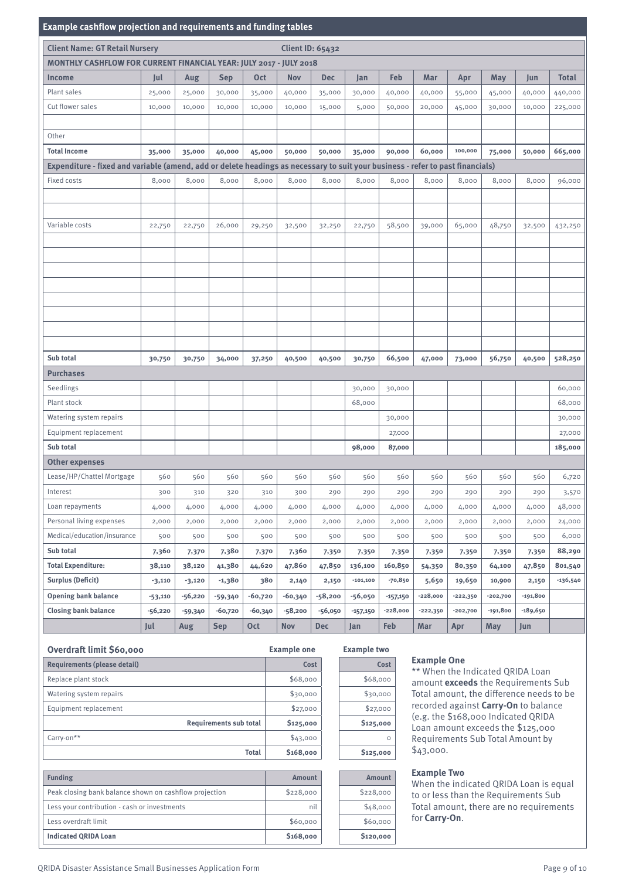#### **Example cashflow projection and requirements and funding tables**

| Example casmion projection and requirements and randing tables                                                                 |                                                                    |         |            |            |                         |            |            |            |            |            |            |            |              |
|--------------------------------------------------------------------------------------------------------------------------------|--------------------------------------------------------------------|---------|------------|------------|-------------------------|------------|------------|------------|------------|------------|------------|------------|--------------|
| <b>Client Name: GT Retail Nursery</b>                                                                                          |                                                                    |         |            |            | <b>Client ID: 65432</b> |            |            |            |            |            |            |            |              |
|                                                                                                                                | MONTHLY CASHFLOW FOR CURRENT FINANCIAL YEAR: JULY 2017 - JULY 2018 |         |            |            |                         |            |            |            |            |            |            |            |              |
| <b>Income</b>                                                                                                                  | Jul                                                                | Aug     | <b>Sep</b> | <b>Oct</b> | <b>Nov</b>              | <b>Dec</b> | Jan        | Feb        | Mar        | Apr        | May        | Jun        | <b>Total</b> |
| Plant sales                                                                                                                    | 25,000                                                             | 25,000  | 30,000     | 35,000     | 40,000                  | 35,000     | 30,000     | 40,000     | 40,000     | 55,000     | 45,000     | 40,000     | 440,000      |
| Cut flower sales                                                                                                               | 10,000                                                             | 10,000  | 10,000     | 10,000     | 10,000                  | 15,000     | 5,000      | 50,000     | 20,000     | 45,000     | 30,000     | 10,000     | 225,000      |
|                                                                                                                                |                                                                    |         |            |            |                         |            |            |            |            |            |            |            |              |
| Other                                                                                                                          |                                                                    |         |            |            |                         |            |            |            |            |            |            |            |              |
| <b>Total Income</b>                                                                                                            | 35,000                                                             | 35,000  | 40,000     | 45,000     | 50,000                  | 50,000     | 35,000     | 90,000     | 60,000     | 100,000    | 75,000     | 50,000     | 665,000      |
| Expenditure - fixed and variable (amend, add or delete headings as necessary to suit your business - refer to past financials) |                                                                    |         |            |            |                         |            |            |            |            |            |            |            |              |
| Fixed costs                                                                                                                    | 8,000                                                              | 8,000   | 8,000      | 8,000      | 8,000                   | 8,000      | 8,000      | 8,000      | 8,000      | 8,000      | 8,000      | 8,000      | 96,000       |
|                                                                                                                                |                                                                    |         |            |            |                         |            |            |            |            |            |            |            |              |
|                                                                                                                                |                                                                    |         |            |            |                         |            |            |            |            |            |            |            |              |
| Variable costs                                                                                                                 | 22,750                                                             | 22,750  | 26,000     | 29,250     | 32,500                  | 32,250     | 22,750     | 58,500     | 39,000     | 65,000     | 48,750     | 32,500     | 432,250      |
|                                                                                                                                |                                                                    |         |            |            |                         |            |            |            |            |            |            |            |              |
|                                                                                                                                |                                                                    |         |            |            |                         |            |            |            |            |            |            |            |              |
|                                                                                                                                |                                                                    |         |            |            |                         |            |            |            |            |            |            |            |              |
|                                                                                                                                |                                                                    |         |            |            |                         |            |            |            |            |            |            |            |              |
|                                                                                                                                |                                                                    |         |            |            |                         |            |            |            |            |            |            |            |              |
|                                                                                                                                |                                                                    |         |            |            |                         |            |            |            |            |            |            |            |              |
|                                                                                                                                |                                                                    |         |            |            |                         |            |            |            |            |            |            |            |              |
|                                                                                                                                |                                                                    |         |            |            |                         |            |            |            |            |            |            |            |              |
| Sub total                                                                                                                      | 30,750                                                             | 30,750  | 34,000     | 37,250     | 40,500                  | 40,500     | 30,750     | 66,500     | 47,000     | 73,000     | 56,750     | 40,500     | 528,250      |
| <b>Purchases</b>                                                                                                               |                                                                    |         |            |            |                         |            |            |            |            |            |            |            |              |
| Seedlings                                                                                                                      |                                                                    |         |            |            |                         |            | 30,000     | 30,000     |            |            |            |            | 60,000       |
| Plant stock                                                                                                                    |                                                                    |         |            |            |                         |            | 68,000     |            |            |            |            |            | 68,000       |
| Watering system repairs                                                                                                        |                                                                    |         |            |            |                         |            |            |            |            |            |            |            |              |
| Equipment replacement                                                                                                          |                                                                    |         |            |            |                         |            |            | 30,000     |            |            |            |            | 30,000       |
| Sub total                                                                                                                      |                                                                    |         |            |            |                         |            |            | 27,000     |            |            |            |            | 27,000       |
|                                                                                                                                |                                                                    |         |            |            |                         |            | 98,000     | 87,000     |            |            |            |            | 185,000      |
| <b>Other expenses</b>                                                                                                          |                                                                    |         |            |            |                         |            |            |            |            |            |            |            |              |
| Lease/HP/Chattel Mortgage                                                                                                      | 560                                                                | 560     | 560        | 560        | 560                     | 560        | 560        | 560        | 560        | 560        | 560        | 560        | 6,720        |
| Interest                                                                                                                       | 300                                                                | 310     | 320        | 310        | 300                     | 290        | 290        | 290        | 290        | 290        | 290        | 290        | 3,570        |
| Loan repayments                                                                                                                | 4,000                                                              | 4,000   | 4,000      | 4,000      | 4,000                   | 4,000      | 4,000      | 4,000      | 4,000      | 4,000      | 4,000      | 4,000      | 48,000       |
| Personal living expenses                                                                                                       | 2,000                                                              | 2,000   | 2,000      | 2,000      | 2,000                   | 2,000      | 2,000      | 2,000      | 2,000      | 2,000      | 2,000      | 2,000      | 24,000       |
| Medical/education/insurance                                                                                                    | 500                                                                | 500     | 500        | 500        | 500                     | 500        | 500        | 500        | 500        | 500        | 500        | 500        | 6,000        |
| Sub total                                                                                                                      | 7,360                                                              | 7,370   | 7,380      | 7,370      | 7,360                   | 7,350      | 7,350      | 7,350      | 7,350      | 7,350      | 7,350      | 7,350      | 88,290       |
| <b>Total Expenditure:</b>                                                                                                      | 38,110                                                             | 38,120  | 41,380     | 44,620     | 47,860                  | 47,850     | 136,100    | 160,850    | 54,350     | 80,350     | 64,100     | 47,850     | 801,540      |
| <b>Surplus (Deficit)</b>                                                                                                       | $-3,110$                                                           | -3,120  | -1,380     | 380        | 2,140                   | 2,150      | $-101,100$ | $-70,850$  | 5,650      | 19,650     | 10,900     | 2,150      | -136,540     |
| <b>Opening bank balance</b>                                                                                                    | $-53,110$                                                          | -56,220 | $-59,340$  | $-60,720$  | -60,340                 | $-58,200$  | -56,050    | $-157,150$ | $-228,000$ | $-222,350$ | $-202,700$ | $-191,800$ |              |
| <b>Closing bank balance</b>                                                                                                    | -56,220                                                            | -59,340 | $-60,720$  | -60,340    | $-58,200$               | $-56,050$  | $-157,150$ | $-228,000$ | $-222,350$ | $-202,700$ | $-191,800$ | -189,650   |              |
|                                                                                                                                | Jul                                                                | Aug     | <b>Sep</b> | <b>Oct</b> | Nov                     | <b>Dec</b> | Jan        | Feb        | Mar        | Apr        | May        | Jun        |              |

| Overdraft limit \$60,000      | <b>Example one</b> | <b>Example two</b> |
|-------------------------------|--------------------|--------------------|
| Requirements (please detail)  | Cost               | Cost               |
| Replace plant stock           | \$68,000           | \$68,000           |
| Watering system repairs       | \$30,000           | \$30,000           |
| Equipment replacement         | \$27,000           | \$27,000           |
| <b>Requirements sub total</b> | \$125,000          | \$125,000          |
| Carry-on**                    | \$43,000           | $\Omega$           |
| <b>Total</b>                  | \$168,000          | \$125,000          |

| <b>Funding</b>                                         | <b>Amount</b> | Amount                |
|--------------------------------------------------------|---------------|-----------------------|
| Peak closing bank balance shown on cashflow projection | \$228,000     | \$228,000             |
| Less your contribution - cash or investments           | nil           | \$48,000              |
| Less overdraft limit                                   | \$60,000      | \$60,000              |
| <b>Indicated QRIDA Loan</b>                            | \$168,000     | S <sub>120</sub> ,000 |

# **Example two**

| Cost      |
|-----------|
| \$68,000  |
| \$30,000  |
| \$27,000  |
| \$125,000 |
| n         |
| \$125,000 |
|           |

# **Example One**

\*\* When the Indicated QRIDA Loan amount **exceeds** the Requirements Sub Total amount, the difference needs to be recorded against **Carry-On** to balance (e.g. the \$168,000 Indicated QRIDA Loan amount exceeds the \$125,000 Requirements Sub Total Amount by \$43,000.

#### **Example Two**

When the indicated QRIDA Loan is equal to or less than the Requirements Sub Total amount, there are no requirements for **Carry-On**.